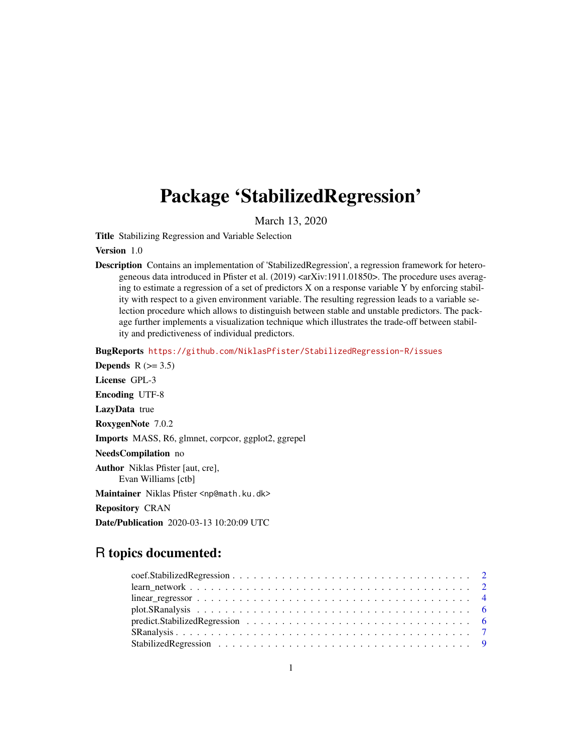## <span id="page-0-0"></span>Package 'StabilizedRegression'

March 13, 2020

Title Stabilizing Regression and Variable Selection

#### Version 1.0

Description Contains an implementation of 'StabilizedRegression', a regression framework for heterogeneous data introduced in Pfister et al. (2019) <arXiv:1911.01850>. The procedure uses averaging to estimate a regression of a set of predictors X on a response variable Y by enforcing stability with respect to a given environment variable. The resulting regression leads to a variable selection procedure which allows to distinguish between stable and unstable predictors. The package further implements a visualization technique which illustrates the trade-off between stability and predictiveness of individual predictors.

BugReports <https://github.com/NiklasPfister/StabilizedRegression-R/issues>

Depends  $R$  ( $>= 3.5$ ) License GPL-3 Encoding UTF-8 LazyData true RoxygenNote 7.0.2 Imports MASS, R6, glmnet, corpcor, ggplot2, ggrepel NeedsCompilation no Author Niklas Pfister [aut, cre], Evan Williams [ctb] Maintainer Niklas Pfister <np@math.ku.dk> Repository CRAN Date/Publication 2020-03-13 10:20:09 UTC

### R topics documented:

| $linear\_regressor \ldots \ldots \ldots \ldots \ldots \ldots \ldots \ldots \ldots \ldots \ldots \ldots \ldots$ |  |  |  |  |  |  |  |  |  |  |  |  |  |  |  |
|----------------------------------------------------------------------------------------------------------------|--|--|--|--|--|--|--|--|--|--|--|--|--|--|--|
|                                                                                                                |  |  |  |  |  |  |  |  |  |  |  |  |  |  |  |
|                                                                                                                |  |  |  |  |  |  |  |  |  |  |  |  |  |  |  |
|                                                                                                                |  |  |  |  |  |  |  |  |  |  |  |  |  |  |  |
|                                                                                                                |  |  |  |  |  |  |  |  |  |  |  |  |  |  |  |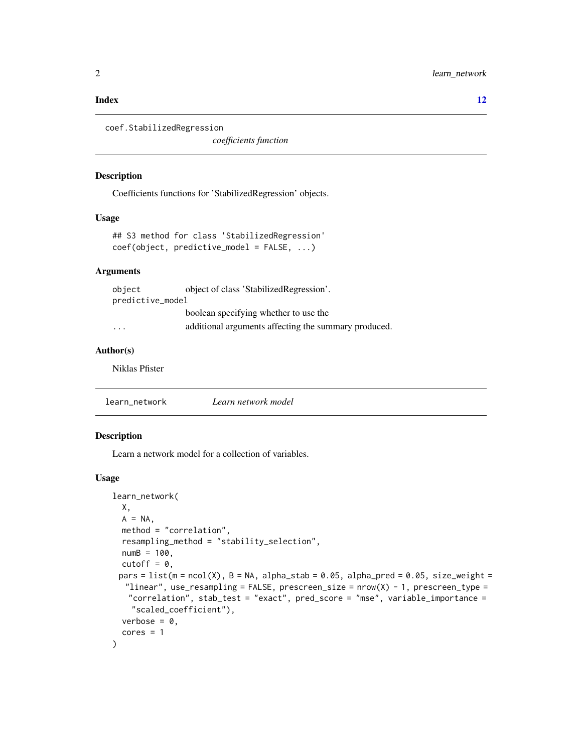#### <span id="page-1-0"></span>**Index** [12](#page-11-0)

```
coef.StabilizedRegression
```
*coefficients function*

#### Description

Coefficients functions for 'StabilizedRegression' objects.

#### Usage

```
## S3 method for class 'StabilizedRegression'
coef(object, predictive_model = FALSE, ...)
```
#### Arguments

| object           | object of class 'StabilizedRegression'.              |
|------------------|------------------------------------------------------|
| predictive_model |                                                      |
|                  | boolean specifying whether to use the                |
| .                | additional arguments affecting the summary produced. |

#### Author(s)

Niklas Pfister

learn\_network *Learn network model*

#### Description

Learn a network model for a collection of variables.

#### Usage

```
learn_network(
 X,
 A = NA,
 method = "correlation",
 resampling_method = "stability_selection",
 numB = 100,cutoff = 0,
 pars = list(m = ncol(X), B = NA, alpha_stab = 0.05, alpha_pred = 0.05, size-weight ="linear", use_resampling = FALSE, prescreen_size = nrow(X) - 1, prescreen_type =
   "correlation", stab_test = "exact", pred_score = "mse", variable_importance =
    "scaled_coefficient"),
 verbose = 0,
  cores = 1)
```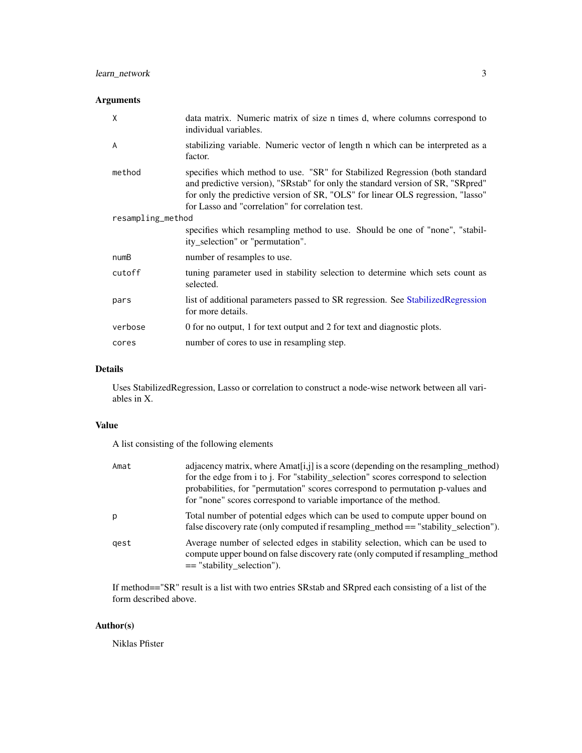#### <span id="page-2-0"></span>Arguments

| X                 | data matrix. Numeric matrix of size n times d, where columns correspond to<br>individual variables.                                                                                                                                                                                                     |
|-------------------|---------------------------------------------------------------------------------------------------------------------------------------------------------------------------------------------------------------------------------------------------------------------------------------------------------|
| A                 | stabilizing variable. Numeric vector of length n which can be interpreted as a<br>factor.                                                                                                                                                                                                               |
| method            | specifies which method to use. "SR" for Stabilized Regression (both standard<br>and predictive version), "SRstab" for only the standard version of SR, "SRpred"<br>for only the predictive version of SR, "OLS" for linear OLS regression, "lasso"<br>for Lasso and "correlation" for correlation test. |
| resampling_method |                                                                                                                                                                                                                                                                                                         |
|                   | specifies which resampling method to use. Should be one of "none", "stabil-<br>ity_selection" or "permutation".                                                                                                                                                                                         |
| numB              | number of resamples to use.                                                                                                                                                                                                                                                                             |
| cutoff            | tuning parameter used in stability selection to determine which sets count as<br>selected.                                                                                                                                                                                                              |
| pars              | list of additional parameters passed to SR regression. See Stabilized Regression<br>for more details.                                                                                                                                                                                                   |
| verbose           | 0 for no output, 1 for text output and 2 for text and diagnostic plots.                                                                                                                                                                                                                                 |
| cores             | number of cores to use in resampling step.                                                                                                                                                                                                                                                              |

#### Details

Uses StabilizedRegression, Lasso or correlation to construct a node-wise network between all variables in X.

#### Value

A list consisting of the following elements

| Amat | adjacency matrix, where Amat $[i, j]$ is a score (depending on the resampling method)<br>for the edge from i to j. For "stability_selection" scores correspond to selection<br>probabilities, for "permutation" scores correspond to permutation p-values and<br>for "none" scores correspond to variable importance of the method. |
|------|-------------------------------------------------------------------------------------------------------------------------------------------------------------------------------------------------------------------------------------------------------------------------------------------------------------------------------------|
| p    | Total number of potential edges which can be used to compute upper bound on<br>false discovery rate (only computed if resampling_method == "stability_selection").                                                                                                                                                                  |
| gest | Average number of selected edges in stability selection, which can be used to<br>compute upper bound on false discovery rate (only computed if resampling method<br>$==$ "stability_selection").                                                                                                                                    |

If method=="SR" result is a list with two entries SRstab and SRpred each consisting of a list of the form described above.

#### Author(s)

Niklas Pfister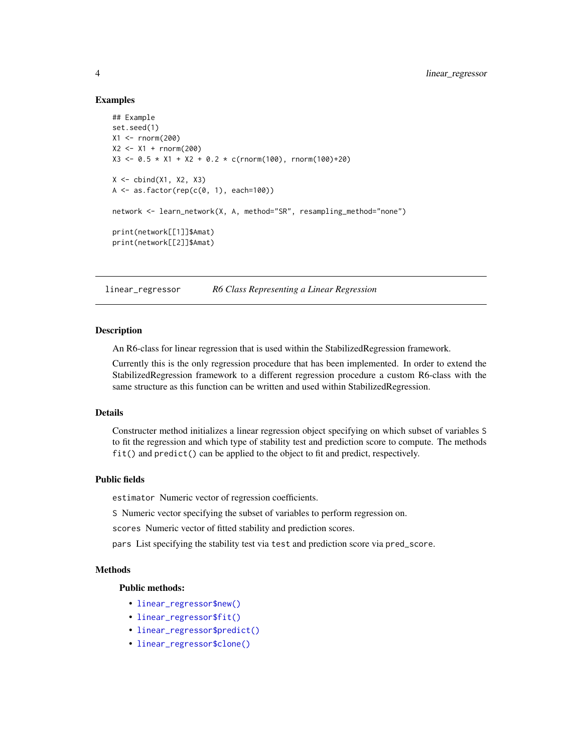#### Examples

```
## Example
set.seed(1)
X1 <- rnorm(200)
X2 <- X1 + rnorm(200)
X3 \le -0.5 \times X1 + X2 + 0.2 \times c(rnorm(100), rnorm(100)+20)X \leftarrow \text{cbind}(X1, X2, X3)A \leftarrow as.factor(rep(c(\theta, 1), each=100))network <- learn_network(X, A, method="SR", resampling_method="none")
print(network[[1]]$Amat)
print(network[[2]]$Amat)
```
linear\_regressor *R6 Class Representing a Linear Regression*

#### Description

An R6-class for linear regression that is used within the StabilizedRegression framework.

Currently this is the only regression procedure that has been implemented. In order to extend the StabilizedRegression framework to a different regression procedure a custom R6-class with the same structure as this function can be written and used within StabilizedRegression.

#### Details

Constructer method initializes a linear regression object specifying on which subset of variables S to fit the regression and which type of stability test and prediction score to compute. The methods fit() and predict() can be applied to the object to fit and predict, respectively.

#### Public fields

estimator Numeric vector of regression coefficients.

S Numeric vector specifying the subset of variables to perform regression on.

scores Numeric vector of fitted stability and prediction scores.

pars List specifying the stability test via test and prediction score via pred\_score.

#### Methods

#### Public methods:

- [linear\\_regressor\\$new\(\)](#page-0-0)
- [linear\\_regressor\\$fit\(\)](#page-0-0)
- [linear\\_regressor\\$predict\(\)](#page-0-0)
- [linear\\_regressor\\$clone\(\)](#page-0-0)

<span id="page-3-0"></span>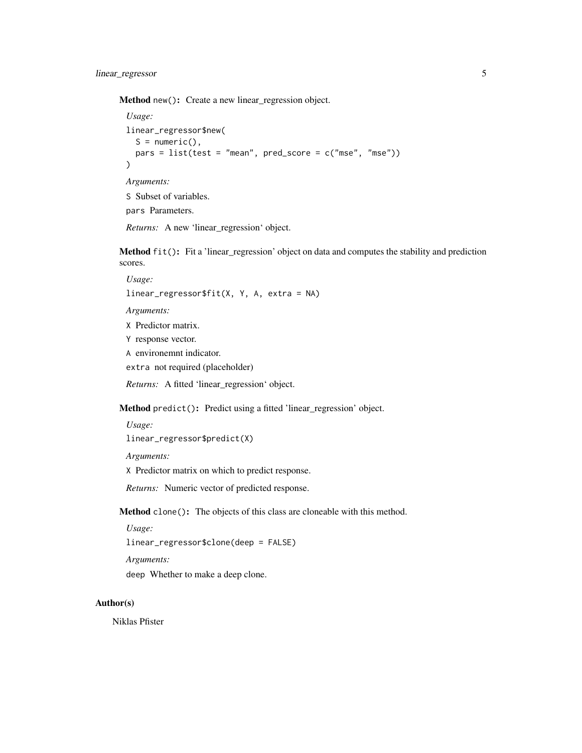Method new(): Create a new linear\_regression object.

```
Usage:
linear_regressor$new(
  S = numeric(),
  pars = list(test = "mean", pred_score = c("mse", "mse"))
)
Arguments:
S Subset of variables.
```
pars Parameters.

*Returns:* A new 'linear\_regression' object.

Method fit(): Fit a 'linear\_regression' object on data and computes the stability and prediction scores.

*Usage:* linear\_regressor\$fit(X, Y, A, extra = NA) *Arguments:*

X Predictor matrix. Y response vector.

A environemnt indicator.

extra not required (placeholder)

*Returns:* A fitted 'linear\_regression' object.

Method predict(): Predict using a fitted 'linear\_regression' object.

*Usage:*

linear\_regressor\$predict(X)

*Arguments:*

X Predictor matrix on which to predict response.

*Returns:* Numeric vector of predicted response.

Method clone(): The objects of this class are cloneable with this method.

*Usage:*

linear\_regressor\$clone(deep = FALSE)

*Arguments:*

deep Whether to make a deep clone.

#### Author(s)

Niklas Pfister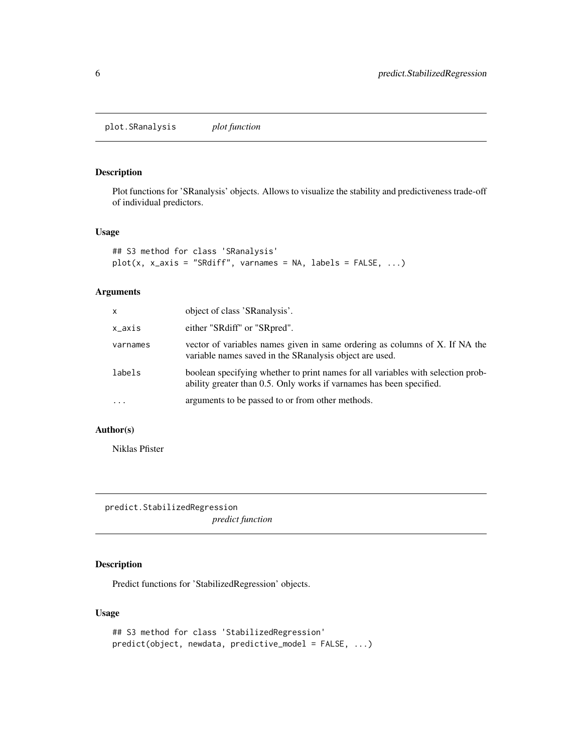<span id="page-5-0"></span>plot.SRanalysis *plot function*

#### Description

Plot functions for 'SRanalysis' objects. Allows to visualize the stability and predictiveness trade-off of individual predictors.

#### Usage

```
## S3 method for class 'SRanalysis'
plot(x, x_axis = "SRdiff", varnames = NA, labels = FALSE, ...)
```
#### Arguments

| x        | object of class 'SRanalysis'.                                                                                                                             |
|----------|-----------------------------------------------------------------------------------------------------------------------------------------------------------|
| x_axis   | either "SRdiff" or "SRpred".                                                                                                                              |
| varnames | vector of variables names given in same ordering as columns of X. If NA the<br>variable names saved in the SRanalysis object are used.                    |
| labels   | boolean specifying whether to print names for all variables with selection prob-<br>ability greater than 0.5. Only works if variances has been specified. |
| .        | arguments to be passed to or from other methods.                                                                                                          |

#### Author(s)

Niklas Pfister

predict.StabilizedRegression *predict function*

#### Description

Predict functions for 'StabilizedRegression' objects.

#### Usage

```
## S3 method for class 'StabilizedRegression'
predict(object, newdata, predictive_model = FALSE, ...)
```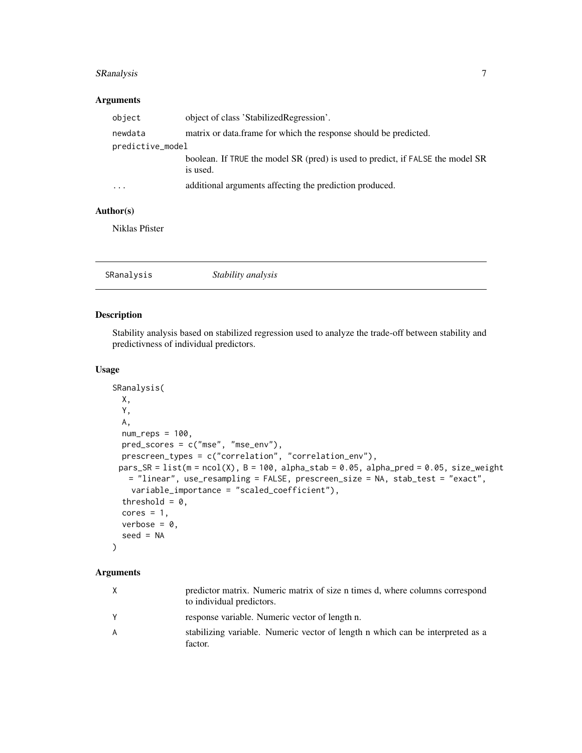#### <span id="page-6-0"></span>SRanalysis 7

#### Arguments

| object           | object of class 'StabilizedRegression'.                                        |
|------------------|--------------------------------------------------------------------------------|
| newdata          | matrix or data. frame for which the response should be predicted.              |
| predictive_model |                                                                                |
|                  | boolean. If TRUE the model SR (pred) is used to predict, if FALSE the model SR |
|                  | is used.                                                                       |
| .                | additional arguments affecting the prediction produced.                        |

#### Author(s)

Niklas Pfister

| Stability analysis<br>SRanalysis |
|----------------------------------|
|----------------------------------|

#### Description

Stability analysis based on stabilized regression used to analyze the trade-off between stability and predictivness of individual predictors.

#### Usage

```
SRanalysis(
 X,
 Y,
 A,
 num\_reps = 100,
 pred_scores = c("mse", "mse_env"),
 prescreen_types = c("correlation", "correlation_env"),
 pars\_SR = list(m = ncol(X), B = 100, alpha\_stab = 0.05, alpha\_pred = 0.05, size\_weight= "linear", use_resampling = FALSE, prescreen_size = NA, stab_test = "exact",
   variable_importance = "scaled_coefficient"),
  threshold = 0,
 cores = 1,verbose = 0.
  seed = NA)
```
#### Arguments

| X | predictor matrix. Numeric matrix of size n times d, where columns correspond<br>to individual predictors. |
|---|-----------------------------------------------------------------------------------------------------------|
| Y | response variable. Numeric vector of length n.                                                            |
| A | stabilizing variable. Numeric vector of length n which can be interpreted as a<br>factor.                 |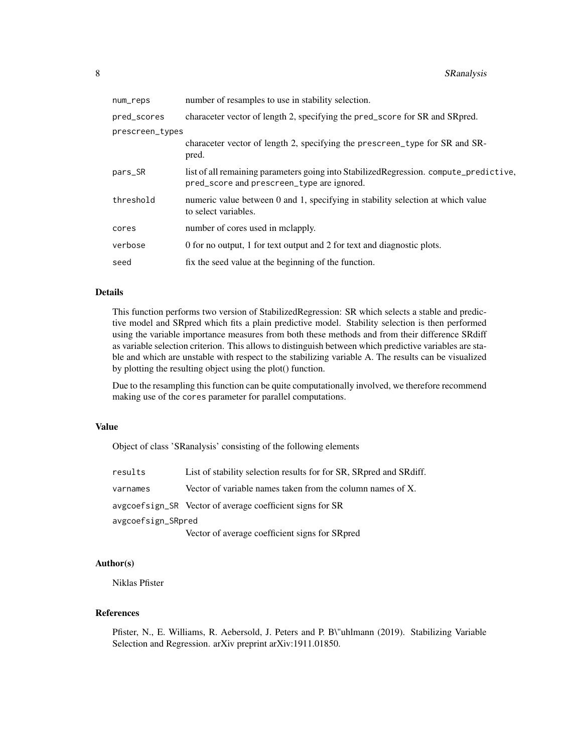| number of resamples to use in stability selection.                                                                                   |
|--------------------------------------------------------------------------------------------------------------------------------------|
| character vector of length 2, specifying the pred_score for SR and SR pred.                                                          |
| prescreen_types                                                                                                                      |
| characeter vector of length 2, specifying the prescreen_type for SR and SR-<br>pred.                                                 |
| list of all remaining parameters going into Stabilized Regression. compute_predictive,<br>pred_score and prescreen_type are ignored. |
| numeric value between 0 and 1, specifying in stability selection at which value<br>to select variables.                              |
| number of cores used in mclapply.                                                                                                    |
| 0 for no output, 1 for text output and 2 for text and diagnostic plots.                                                              |
| fix the seed value at the beginning of the function.                                                                                 |
|                                                                                                                                      |

#### Details

This function performs two version of StabilizedRegression: SR which selects a stable and predictive model and SRpred which fits a plain predictive model. Stability selection is then performed using the variable importance measures from both these methods and from their difference SRdiff as variable selection criterion. This allows to distinguish between which predictive variables are stable and which are unstable with respect to the stabilizing variable A. The results can be visualized by plotting the resulting object using the plot() function.

Due to the resampling this function can be quite computationally involved, we therefore recommend making use of the cores parameter for parallel computations.

#### Value

Object of class 'SRanalysis' consisting of the following elements

| results            | List of stability selection results for for SR, SR pred and SR diff. |
|--------------------|----------------------------------------------------------------------|
| varnames           | Vector of variable names taken from the column names of $X$ .        |
|                    | avgcoefsign_SR Vector of average coefficient signs for SR            |
| avgcoefsign_SRpred |                                                                      |
|                    | Vector of average coefficient signs for SRpred                       |

#### Author(s)

Niklas Pfister

#### References

Pfister, N., E. Williams, R. Aebersold, J. Peters and P. B\"uhlmann (2019). Stabilizing Variable Selection and Regression. arXiv preprint arXiv:1911.01850.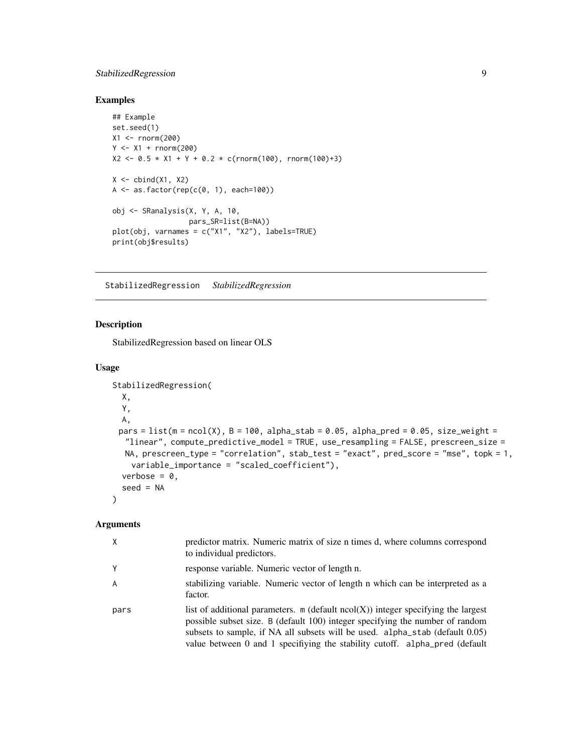#### <span id="page-8-0"></span>StabilizedRegression 9

#### Examples

```
## Example
set.seed(1)
X1 <- rnorm(200)Y < -X1 + \text{rnorm}(200)X2 \le -0.5 \times X1 + Y + 0.2 \times c(rnorm(100), rnorm(100)+3)
X \leftarrow \text{cbind}(X1, X2)A \leftarrow as.factor(rep(c(\theta, 1), each=100))obj <- SRanalysis(X, Y, A, 10,
                     pars_SR=list(B=NA))
plot(obj, varnames = c("X1", "X2"), labels=TRUE)
print(obj$results)
```
<span id="page-8-1"></span>StabilizedRegression *StabilizedRegression*

#### Description

StabilizedRegression based on linear OLS

#### Usage

```
StabilizedRegression(
 X,
 Y,
 A,
 pars = list(m = ncol(X), B = 100, alpha_stab = 0.05, alpha_pred = 0.05, size_weight =
  "linear", compute_predictive_model = TRUE, use_resampling = FALSE, prescreen_size =
  NA, prescreen_type = "correlation", stab_test = "exact", pred_score = "mse", topk = 1,
    variable_importance = "scaled_coefficient"),
  verbose = 0,
  seed = NA
)
```
#### Arguments

| Χ    | predictor matrix. Numeric matrix of size n times d, where columns correspond<br>to individual predictors.                                                                                                                                                                                                                              |
|------|----------------------------------------------------------------------------------------------------------------------------------------------------------------------------------------------------------------------------------------------------------------------------------------------------------------------------------------|
| Υ    | response variable. Numeric vector of length n.                                                                                                                                                                                                                                                                                         |
| A    | stabilizing variable. Numeric vector of length n which can be interpreted as a<br>factor.                                                                                                                                                                                                                                              |
| pars | list of additional parameters. $m$ (default $ncol(X)$ ) integer specifying the largest<br>possible subset size. B (default 100) integer specifying the number of random<br>subsets to sample, if NA all subsets will be used. alpha_stab (default 0.05)<br>value between 0 and 1 specifiying the stability cutoff. alpha_pred (default |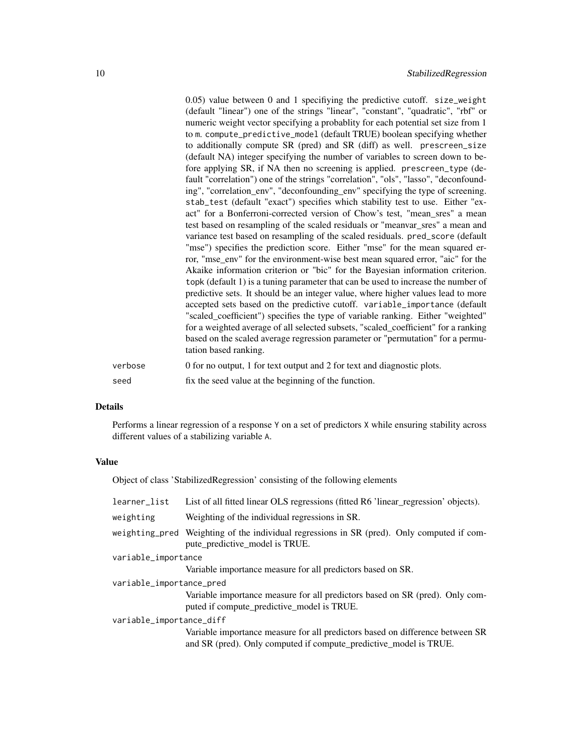|         | $(0.05)$ value between 0 and 1 specifiying the predictive cutoff. size_weight<br>(default "linear") one of the strings "linear", "constant", "quadratic", "rbf" or<br>numeric weight vector specifying a probablity for each potential set size from 1<br>to m. compute_predictive_model (default TRUE) boolean specifying whether<br>to additionally compute SR (pred) and SR (diff) as well. prescreen_size<br>(default NA) integer specifying the number of variables to screen down to be-<br>fore applying SR, if NA then no screening is applied. prescreen_type (de-<br>fault "correlation") one of the strings "correlation", "ols", "lasso", "deconfound-<br>ing", "correlation_env", "deconfounding_env" specifying the type of screening.<br>stab_test (default "exact") specifies which stability test to use. Either "ex-<br>act" for a Bonferroni-corrected version of Chow's test, "mean_sres" a mean<br>test based on resampling of the scaled residuals or "meanvar_sres" a mean and<br>variance test based on resampling of the scaled residuals. pred_score (default<br>"mse") specifies the prediction score. Either "mse" for the mean squared er-<br>ror, "mse_env" for the environment-wise best mean squared error, "aic" for the<br>Akaike information criterion or "bic" for the Bayesian information criterion.<br>topk (default 1) is a tuning parameter that can be used to increase the number of<br>predictive sets. It should be an integer value, where higher values lead to more<br>accepted sets based on the predictive cutoff. variable_importance (default<br>"scaled_coefficient") specifies the type of variable ranking. Either "weighted"<br>for a weighted average of all selected subsets, "scaled_coefficient" for a ranking<br>based on the scaled average regression parameter or "permutation" for a permu- |
|---------|--------------------------------------------------------------------------------------------------------------------------------------------------------------------------------------------------------------------------------------------------------------------------------------------------------------------------------------------------------------------------------------------------------------------------------------------------------------------------------------------------------------------------------------------------------------------------------------------------------------------------------------------------------------------------------------------------------------------------------------------------------------------------------------------------------------------------------------------------------------------------------------------------------------------------------------------------------------------------------------------------------------------------------------------------------------------------------------------------------------------------------------------------------------------------------------------------------------------------------------------------------------------------------------------------------------------------------------------------------------------------------------------------------------------------------------------------------------------------------------------------------------------------------------------------------------------------------------------------------------------------------------------------------------------------------------------------------------------------------------------------------------------------------------------------------------------------------------------------------------|
| verbose | tation based ranking.<br>0 for no output, 1 for text output and 2 for text and diagnostic plots.                                                                                                                                                                                                                                                                                                                                                                                                                                                                                                                                                                                                                                                                                                                                                                                                                                                                                                                                                                                                                                                                                                                                                                                                                                                                                                                                                                                                                                                                                                                                                                                                                                                                                                                                                             |
|         |                                                                                                                                                                                                                                                                                                                                                                                                                                                                                                                                                                                                                                                                                                                                                                                                                                                                                                                                                                                                                                                                                                                                                                                                                                                                                                                                                                                                                                                                                                                                                                                                                                                                                                                                                                                                                                                              |
| seed    | fix the seed value at the beginning of the function.                                                                                                                                                                                                                                                                                                                                                                                                                                                                                                                                                                                                                                                                                                                                                                                                                                                                                                                                                                                                                                                                                                                                                                                                                                                                                                                                                                                                                                                                                                                                                                                                                                                                                                                                                                                                         |

#### Details

Performs a linear regression of a response Y on a set of predictors X while ensuring stability across different values of a stabilizing variable A.

#### Value

Object of class 'StabilizedRegression' consisting of the following elements

| learner_list             | List of all fitted linear OLS regressions (fitted R6 'linear_regression' objects).                                                                 |
|--------------------------|----------------------------------------------------------------------------------------------------------------------------------------------------|
| weighting                | Weighting of the individual regressions in SR.                                                                                                     |
|                          | weighting pred Weighting of the individual regressions in SR (pred). Only computed if com-<br>pute_predictive_model is TRUE.                       |
| variable_importance      |                                                                                                                                                    |
|                          | Variable importance measure for all predictors based on SR.                                                                                        |
| variable_importance_pred |                                                                                                                                                    |
|                          | Variable importance measure for all predictors based on SR (pred). Only com-<br>puted if compute_predictive_model is TRUE.                         |
| variable_importance_diff |                                                                                                                                                    |
|                          | Variable importance measure for all predictors based on difference between SR<br>and SR (pred). Only computed if compute_predictive_model is TRUE. |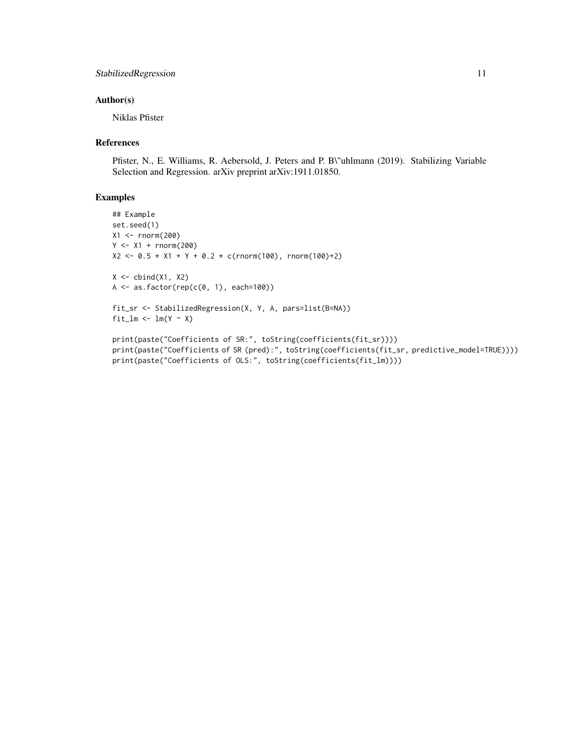#### StabilizedRegression 11

#### Author(s)

Niklas Pfister

#### References

Pfister, N., E. Williams, R. Aebersold, J. Peters and P. B\"uhlmann (2019). Stabilizing Variable Selection and Regression. arXiv preprint arXiv:1911.01850.

#### Examples

```
## Example
set.seed(1)
X1 <- rnorm(200)
Y < - X1 + \text{rnorm}(200)X2 \le -0.5 \times X1 + Y + 0.2 \times c(rnorm(100), rnorm(100)+2)X \leftarrow \text{cbind}(X1, X2)A \leftarrow as.factor(rep(c(\emptyset, 1), each=100))fit_sr <- StabilizedRegression(X, Y, A, pars=list(B=NA))
fit_lm <- lm(Y \sim X)
```

```
print(paste("Coefficients of SR:", toString(coefficients(fit_sr))))
print(paste("Coefficients of SR (pred):", toString(coefficients(fit_sr, predictive_model=TRUE))))
print(paste("Coefficients of OLS:", toString(coefficients(fit_lm))))
```